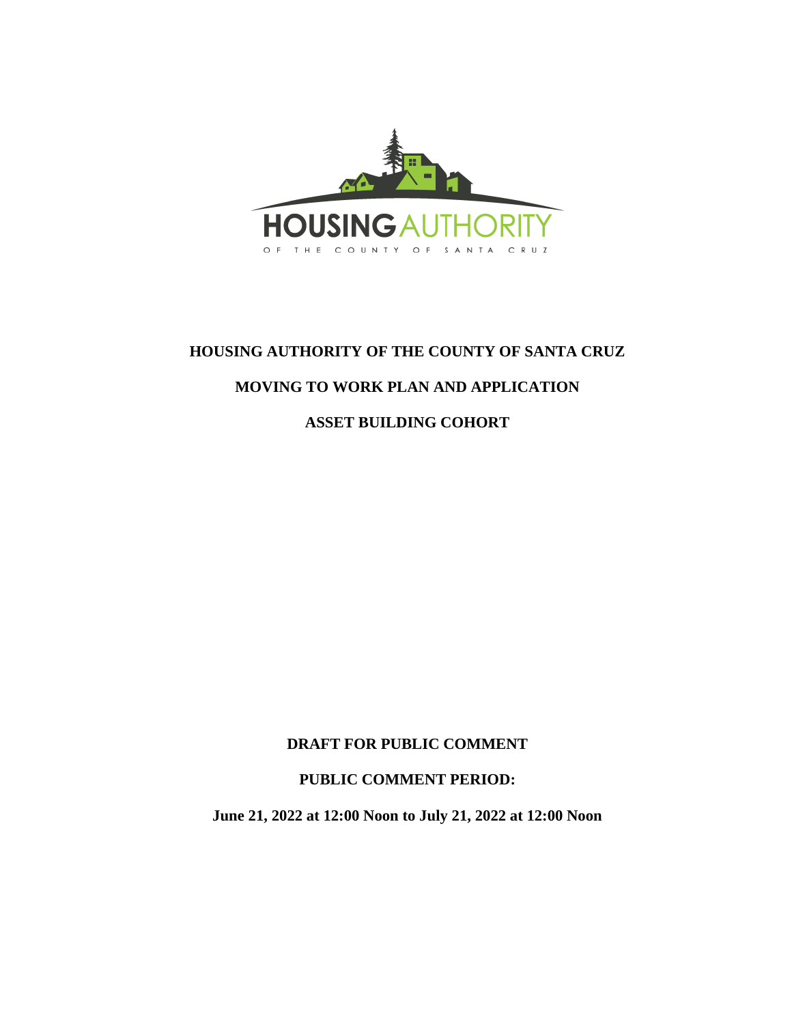

# **HOUSING AUTHORITY OF THE COUNTY OF SANTA CRUZ**

### **MOVING TO WORK PLAN AND APPLICATION**

**ASSET BUILDING COHORT**

**DRAFT FOR PUBLIC COMMENT**

**PUBLIC COMMENT PERIOD:**

**June 21, 2022 at 12:00 Noon to July 21, 2022 at 12:00 Noon**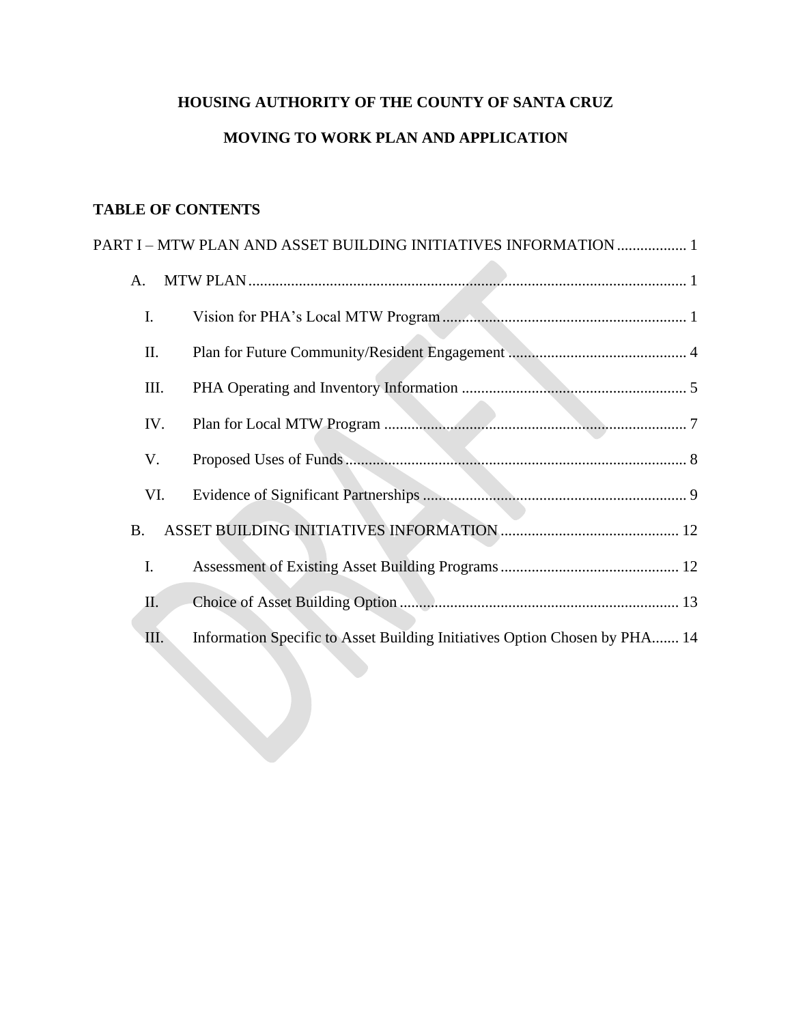### **HOUSING AUTHORITY OF THE COUNTY OF SANTA CRUZ**

### **MOVING TO WORK PLAN AND APPLICATION**

### **TABLE OF CONTENTS**

|                | PART I – MTW PLAN AND ASSET BUILDING INITIATIVES INFORMATION  1            |  |
|----------------|----------------------------------------------------------------------------|--|
| A.             |                                                                            |  |
| $\mathbf{I}$ . |                                                                            |  |
| П.             |                                                                            |  |
| Ш.             |                                                                            |  |
| IV.            |                                                                            |  |
| V.             |                                                                            |  |
| VI.            |                                                                            |  |
| <b>B.</b>      |                                                                            |  |
| $\mathbf{I}$ . |                                                                            |  |
| И.             |                                                                            |  |
| III.           | Information Specific to Asset Building Initiatives Option Chosen by PHA 14 |  |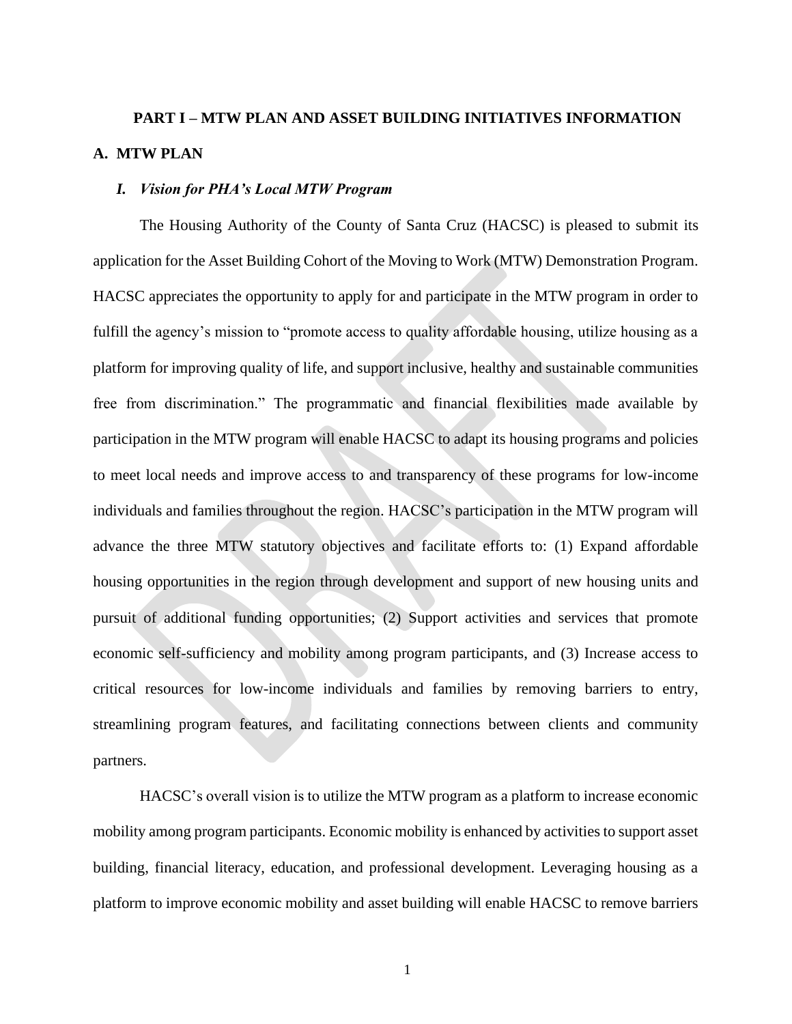## <span id="page-2-1"></span><span id="page-2-0"></span>**PART I – MTW PLAN AND ASSET BUILDING INITIATIVES INFORMATION A. MTW PLAN**

#### <span id="page-2-2"></span>*I. Vision for PHA's Local MTW Program*

The Housing Authority of the County of Santa Cruz (HACSC) is pleased to submit its application for the Asset Building Cohort of the Moving to Work (MTW) Demonstration Program. HACSC appreciates the opportunity to apply for and participate in the MTW program in order to fulfill the agency's mission to "promote access to quality affordable housing, utilize housing as a platform for improving quality of life, and support inclusive, healthy and sustainable communities free from discrimination." The programmatic and financial flexibilities made available by participation in the MTW program will enable HACSC to adapt its housing programs and policies to meet local needs and improve access to and transparency of these programs for low-income individuals and families throughout the region. HACSC's participation in the MTW program will advance the three MTW statutory objectives and facilitate efforts to: (1) Expand affordable housing opportunities in the region through development and support of new housing units and pursuit of additional funding opportunities; (2) Support activities and services that promote economic self-sufficiency and mobility among program participants, and (3) Increase access to critical resources for low-income individuals and families by removing barriers to entry, streamlining program features, and facilitating connections between clients and community partners.

HACSC's overall vision is to utilize the MTW program as a platform to increase economic mobility among program participants. Economic mobility is enhanced by activities to support asset building, financial literacy, education, and professional development. Leveraging housing as a platform to improve economic mobility and asset building will enable HACSC to remove barriers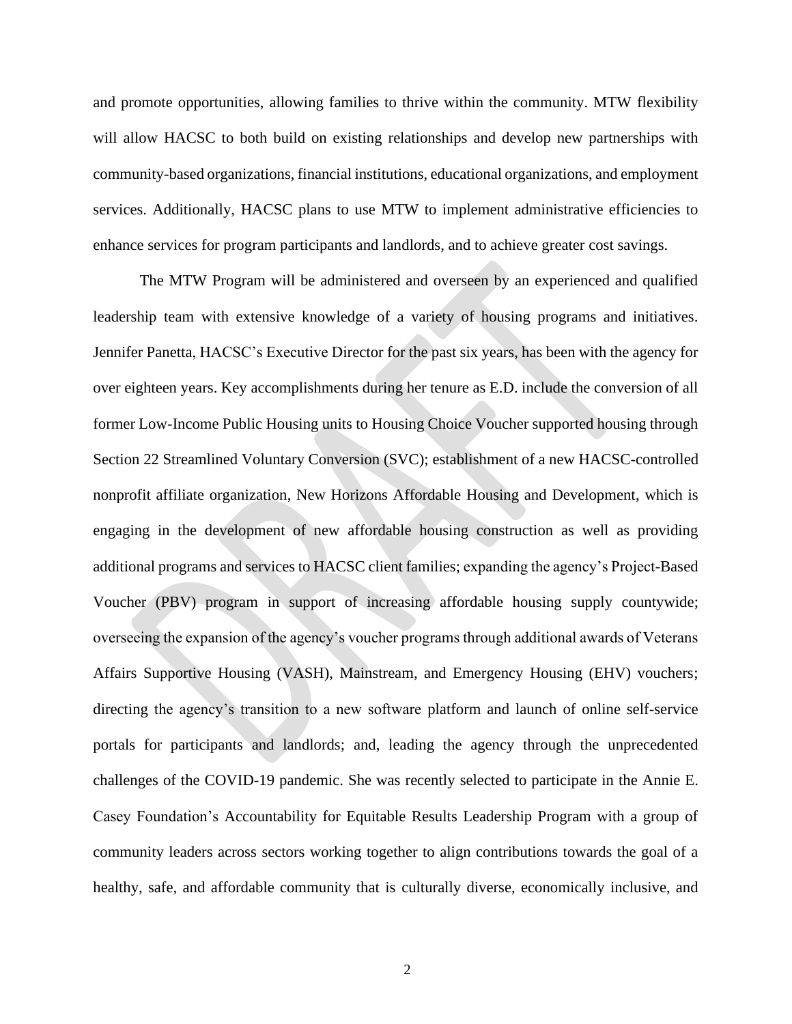and promote opportunities, allowing families to thrive within the community. MTW flexibility will allow HACSC to both build on existing relationships and develop new partnerships with community-based organizations, financial institutions, educational organizations, and employment services. Additionally, HACSC plans to use MTW to implement administrative efficiencies to enhance services for program participants and landlords, and to achieve greater cost savings.

The MTW Program will be administered and overseen by an experienced and qualified leadership team with extensive knowledge of a variety of housing programs and initiatives. Jennifer Panetta, HACSC's Executive Director for the past six years, has been with the agency for over eighteen years. Key accomplishments during her tenure as E.D. include the conversion of all former Low-Income Public Housing units to Housing Choice Voucher supported housing through Section 22 Streamlined Voluntary Conversion (SVC); establishment of a new HACSC-controlled nonprofit affiliate organization, New Horizons Affordable Housing and Development, which is engaging in the development of new affordable housing construction as well as providing additional programs and services to HACSC client families; expanding the agency's Project-Based Voucher (PBV) program in support of increasing affordable housing supply countywide; overseeing the expansion of the agency's voucher programs through additional awards of Veterans Affairs Supportive Housing (VASH), Mainstream, and Emergency Housing (EHV) vouchers; directing the agency's transition to a new software platform and launch of online self-service portals for participants and landlords; and, leading the agency through the unprecedented challenges of the COVID-19 pandemic. She was recently selected to participate in the Annie E. Casey Foundation's Accountability for Equitable Results Leadership Program with a group of community leaders across sectors working together to align contributions towards the goal of a healthy, safe, and affordable community that is culturally diverse, economically inclusive, and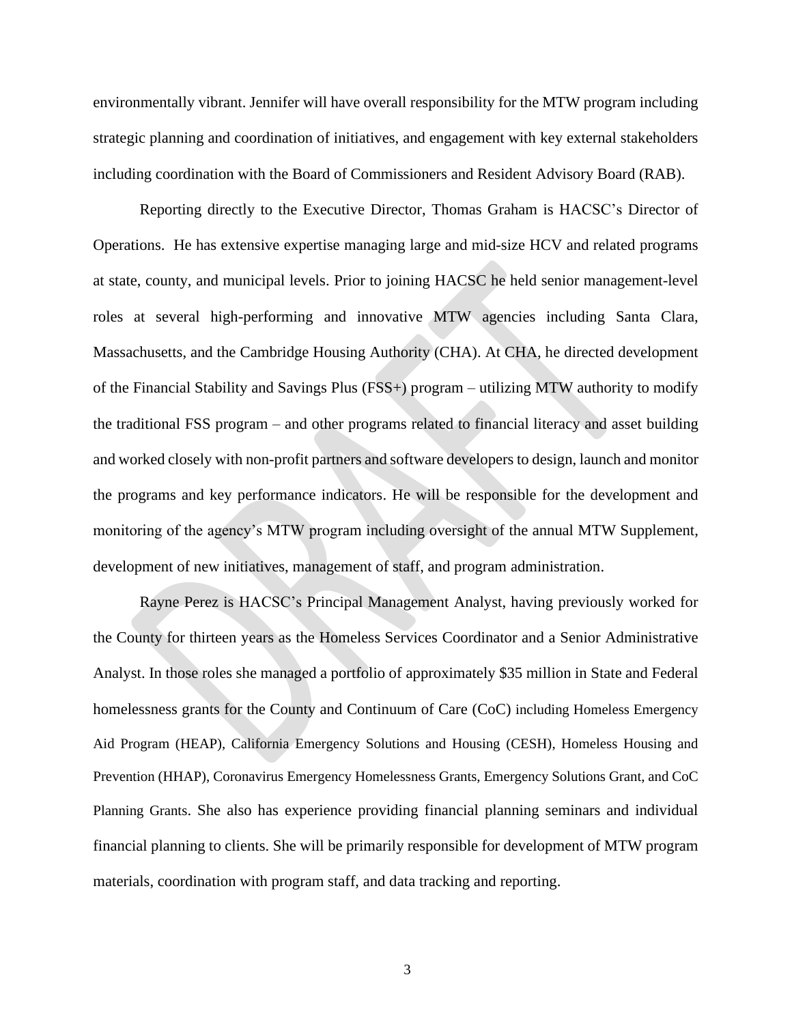environmentally vibrant. Jennifer will have overall responsibility for the MTW program including strategic planning and coordination of initiatives, and engagement with key external stakeholders including coordination with the Board of Commissioners and Resident Advisory Board (RAB).

Reporting directly to the Executive Director, Thomas Graham is HACSC's Director of Operations. He has extensive expertise managing large and mid-size HCV and related programs at state, county, and municipal levels. Prior to joining HACSC he held senior management-level roles at several high-performing and innovative MTW agencies including Santa Clara, Massachusetts, and the Cambridge Housing Authority (CHA). At CHA, he directed development of the Financial Stability and Savings Plus (FSS+) program – utilizing MTW authority to modify the traditional FSS program – and other programs related to financial literacy and asset building and worked closely with non-profit partners and software developers to design, launch and monitor the programs and key performance indicators. He will be responsible for the development and monitoring of the agency's MTW program including oversight of the annual MTW Supplement, development of new initiatives, management of staff, and program administration.

Rayne Perez is HACSC's Principal Management Analyst, having previously worked for the County for thirteen years as the Homeless Services Coordinator and a Senior Administrative Analyst. In those roles she managed a portfolio of approximately \$35 million in State and Federal homelessness grants for the County and Continuum of Care (CoC) including Homeless Emergency Aid Program (HEAP), California Emergency Solutions and Housing (CESH), Homeless Housing and Prevention (HHAP), Coronavirus Emergency Homelessness Grants, Emergency Solutions Grant, and CoC Planning Grants. She also has experience providing financial planning seminars and individual financial planning to clients. She will be primarily responsible for development of MTW program materials, coordination with program staff, and data tracking and reporting.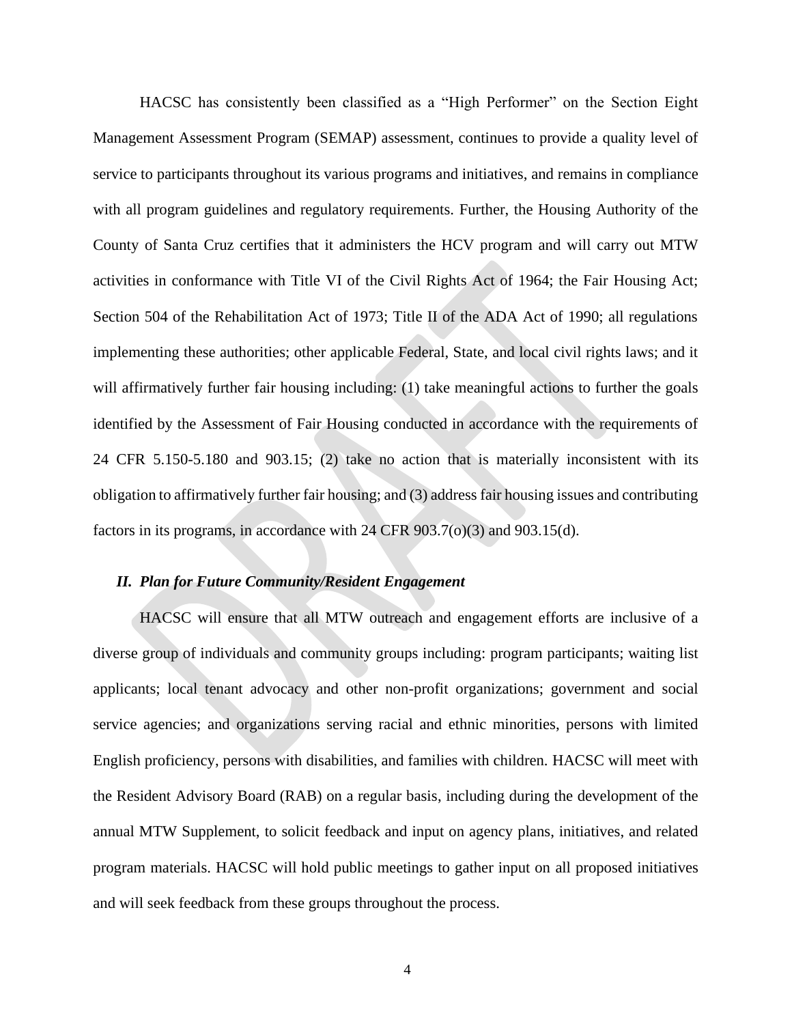HACSC has consistently been classified as a "High Performer" on the Section Eight Management Assessment Program (SEMAP) assessment, continues to provide a quality level of service to participants throughout its various programs and initiatives, and remains in compliance with all program guidelines and regulatory requirements. Further, the Housing Authority of the County of Santa Cruz certifies that it administers the HCV program and will carry out MTW activities in conformance with Title VI of the Civil Rights Act of 1964; the Fair Housing Act; Section 504 of the Rehabilitation Act of 1973; Title II of the ADA Act of 1990; all regulations implementing these authorities; other applicable Federal, State, and local civil rights laws; and it will affirmatively further fair housing including: (1) take meaningful actions to further the goals identified by the Assessment of Fair Housing conducted in accordance with the requirements of 24 CFR 5.150-5.180 and 903.15; (2) take no action that is materially inconsistent with its obligation to affirmatively further fair housing; and (3) address fair housing issues and contributing factors in its programs, in accordance with 24 CFR 903.7(o)(3) and 903.15(d).

#### <span id="page-5-0"></span>*II. Plan for Future Community/Resident Engagement*

HACSC will ensure that all MTW outreach and engagement efforts are inclusive of a diverse group of individuals and community groups including: program participants; waiting list applicants; local tenant advocacy and other non-profit organizations; government and social service agencies; and organizations serving racial and ethnic minorities, persons with limited English proficiency, persons with disabilities, and families with children. HACSC will meet with the Resident Advisory Board (RAB) on a regular basis, including during the development of the annual MTW Supplement, to solicit feedback and input on agency plans, initiatives, and related program materials. HACSC will hold public meetings to gather input on all proposed initiatives and will seek feedback from these groups throughout the process.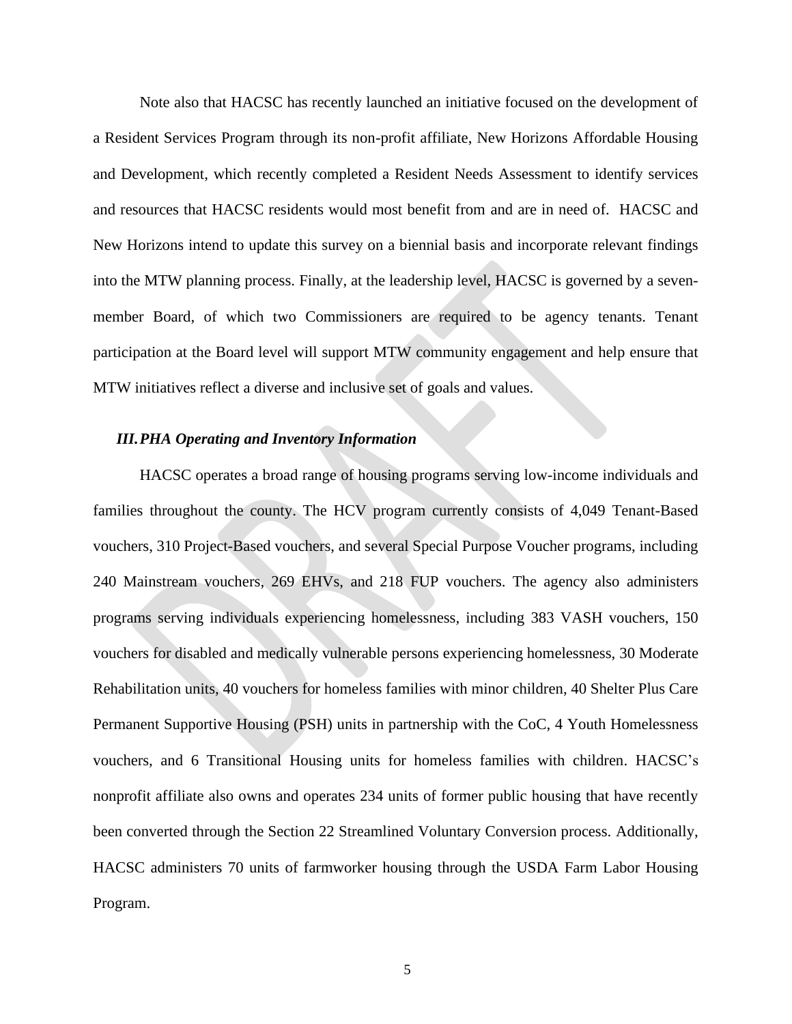Note also that HACSC has recently launched an initiative focused on the development of a Resident Services Program through its non-profit affiliate, New Horizons Affordable Housing and Development, which recently completed a Resident Needs Assessment to identify services and resources that HACSC residents would most benefit from and are in need of. HACSC and New Horizons intend to update this survey on a biennial basis and incorporate relevant findings into the MTW planning process. Finally, at the leadership level, HACSC is governed by a sevenmember Board, of which two Commissioners are required to be agency tenants. Tenant participation at the Board level will support MTW community engagement and help ensure that MTW initiatives reflect a diverse and inclusive set of goals and values.

#### <span id="page-6-0"></span>*III.PHA Operating and Inventory Information*

HACSC operates a broad range of housing programs serving low-income individuals and families throughout the county. The HCV program currently consists of 4,049 Tenant-Based vouchers, 310 Project-Based vouchers, and several Special Purpose Voucher programs, including 240 Mainstream vouchers, 269 EHVs, and 218 FUP vouchers. The agency also administers programs serving individuals experiencing homelessness, including 383 VASH vouchers, 150 vouchers for disabled and medically vulnerable persons experiencing homelessness, 30 Moderate Rehabilitation units, 40 vouchers for homeless families with minor children, 40 Shelter Plus Care Permanent Supportive Housing (PSH) units in partnership with the CoC, 4 Youth Homelessness vouchers, and 6 Transitional Housing units for homeless families with children. HACSC's nonprofit affiliate also owns and operates 234 units of former public housing that have recently been converted through the Section 22 Streamlined Voluntary Conversion process. Additionally, HACSC administers 70 units of farmworker housing through the USDA Farm Labor Housing Program.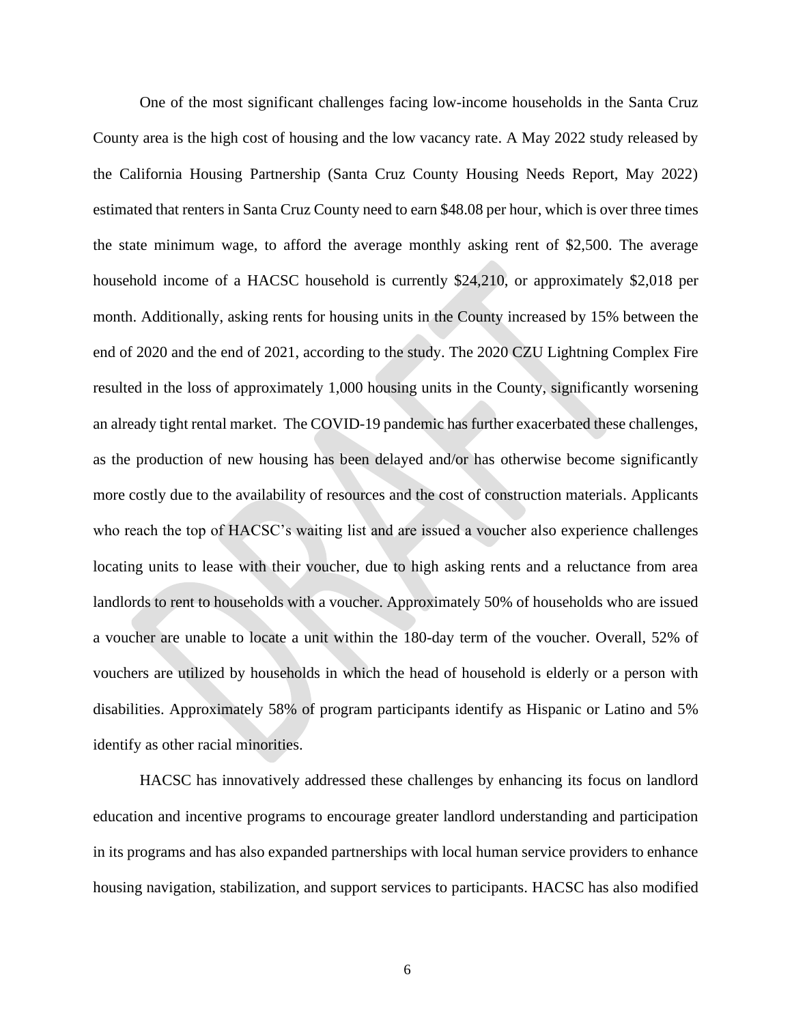One of the most significant challenges facing low-income households in the Santa Cruz County area is the high cost of housing and the low vacancy rate. A May 2022 study released by the California Housing Partnership (Santa Cruz County Housing Needs Report, May 2022) estimated that renters in Santa Cruz County need to earn \$48.08 per hour, which is over three times the state minimum wage, to afford the average monthly asking rent of \$2,500. The average household income of a HACSC household is currently \$24,210, or approximately \$2,018 per month. Additionally, asking rents for housing units in the County increased by 15% between the end of 2020 and the end of 2021, according to the study. The 2020 CZU Lightning Complex Fire resulted in the loss of approximately 1,000 housing units in the County, significantly worsening an already tight rental market. The COVID-19 pandemic has further exacerbated these challenges, as the production of new housing has been delayed and/or has otherwise become significantly more costly due to the availability of resources and the cost of construction materials. Applicants who reach the top of HACSC's waiting list and are issued a voucher also experience challenges locating units to lease with their voucher, due to high asking rents and a reluctance from area landlords to rent to households with a voucher. Approximately 50% of households who are issued a voucher are unable to locate a unit within the 180-day term of the voucher. Overall, 52% of vouchers are utilized by households in which the head of household is elderly or a person with disabilities. Approximately 58% of program participants identify as Hispanic or Latino and 5% identify as other racial minorities.

HACSC has innovatively addressed these challenges by enhancing its focus on landlord education and incentive programs to encourage greater landlord understanding and participation in its programs and has also expanded partnerships with local human service providers to enhance housing navigation, stabilization, and support services to participants. HACSC has also modified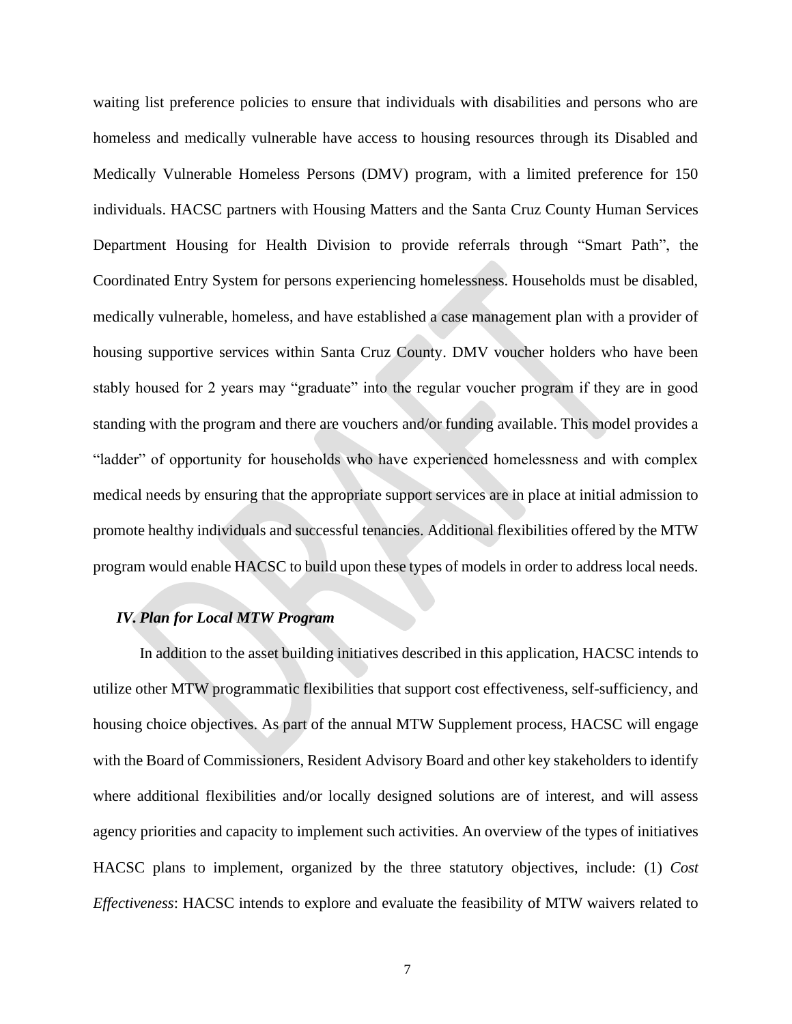waiting list preference policies to ensure that individuals with disabilities and persons who are homeless and medically vulnerable have access to housing resources through its Disabled and Medically Vulnerable Homeless Persons (DMV) program, with a limited preference for 150 individuals. HACSC partners with Housing Matters and the Santa Cruz County Human Services Department Housing for Health Division to provide referrals through "Smart Path", the Coordinated Entry System for persons experiencing homelessness. Households must be disabled, medically vulnerable, homeless, and have established a case management plan with a provider of housing supportive services within Santa Cruz County. DMV voucher holders who have been stably housed for 2 years may "graduate" into the regular voucher program if they are in good standing with the program and there are vouchers and/or funding available. This model provides a "ladder" of opportunity for households who have experienced homelessness and with complex medical needs by ensuring that the appropriate support services are in place at initial admission to promote healthy individuals and successful tenancies. Additional flexibilities offered by the MTW program would enable HACSC to build upon these types of models in order to address local needs.

#### <span id="page-8-0"></span>*IV. Plan for Local MTW Program*

In addition to the asset building initiatives described in this application, HACSC intends to utilize other MTW programmatic flexibilities that support cost effectiveness, self-sufficiency, and housing choice objectives. As part of the annual MTW Supplement process, HACSC will engage with the Board of Commissioners, Resident Advisory Board and other key stakeholders to identify where additional flexibilities and/or locally designed solutions are of interest, and will assess agency priorities and capacity to implement such activities. An overview of the types of initiatives HACSC plans to implement, organized by the three statutory objectives, include: (1) *Cost Effectiveness*: HACSC intends to explore and evaluate the feasibility of MTW waivers related to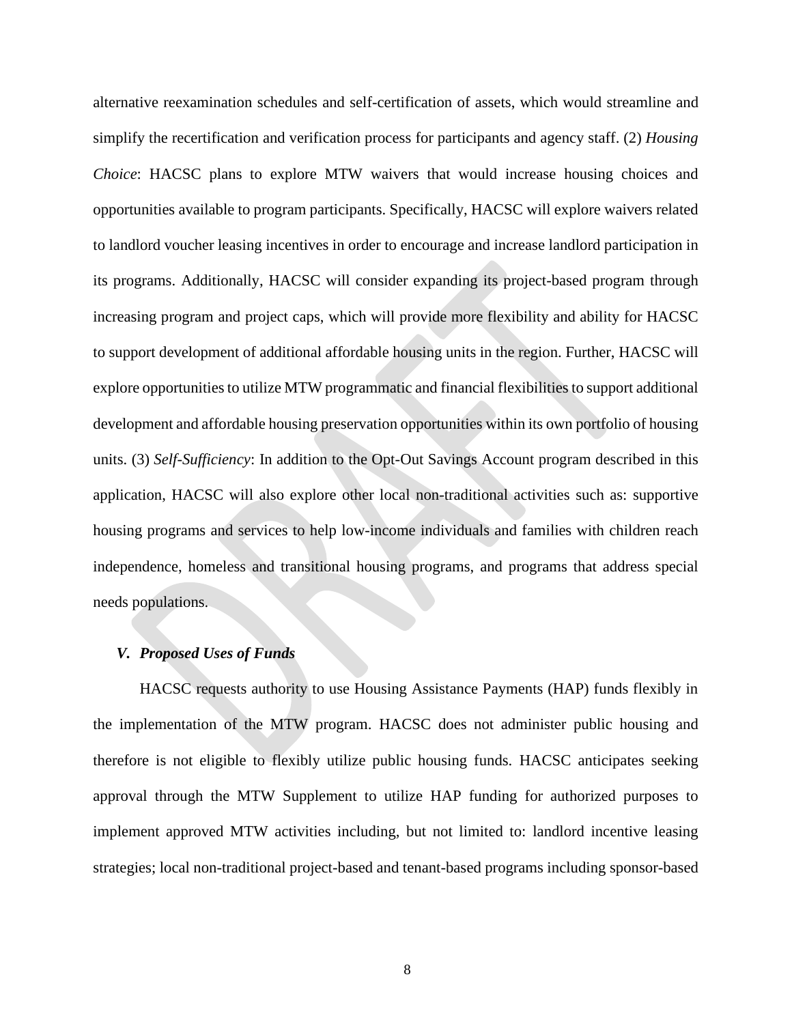alternative reexamination schedules and self-certification of assets, which would streamline and simplify the recertification and verification process for participants and agency staff. (2) *Housing Choice*: HACSC plans to explore MTW waivers that would increase housing choices and opportunities available to program participants. Specifically, HACSC will explore waivers related to landlord voucher leasing incentives in order to encourage and increase landlord participation in its programs. Additionally, HACSC will consider expanding its project-based program through increasing program and project caps, which will provide more flexibility and ability for HACSC to support development of additional affordable housing units in the region. Further, HACSC will explore opportunities to utilize MTW programmatic and financial flexibilities to support additional development and affordable housing preservation opportunities within its own portfolio of housing units. (3) *Self-Sufficiency*: In addition to the Opt-Out Savings Account program described in this application, HACSC will also explore other local non-traditional activities such as: supportive housing programs and services to help low-income individuals and families with children reach independence, homeless and transitional housing programs, and programs that address special needs populations.

#### <span id="page-9-0"></span>*V. Proposed Uses of Funds*

HACSC requests authority to use Housing Assistance Payments (HAP) funds flexibly in the implementation of the MTW program. HACSC does not administer public housing and therefore is not eligible to flexibly utilize public housing funds. HACSC anticipates seeking approval through the MTW Supplement to utilize HAP funding for authorized purposes to implement approved MTW activities including, but not limited to: landlord incentive leasing strategies; local non-traditional project-based and tenant-based programs including sponsor-based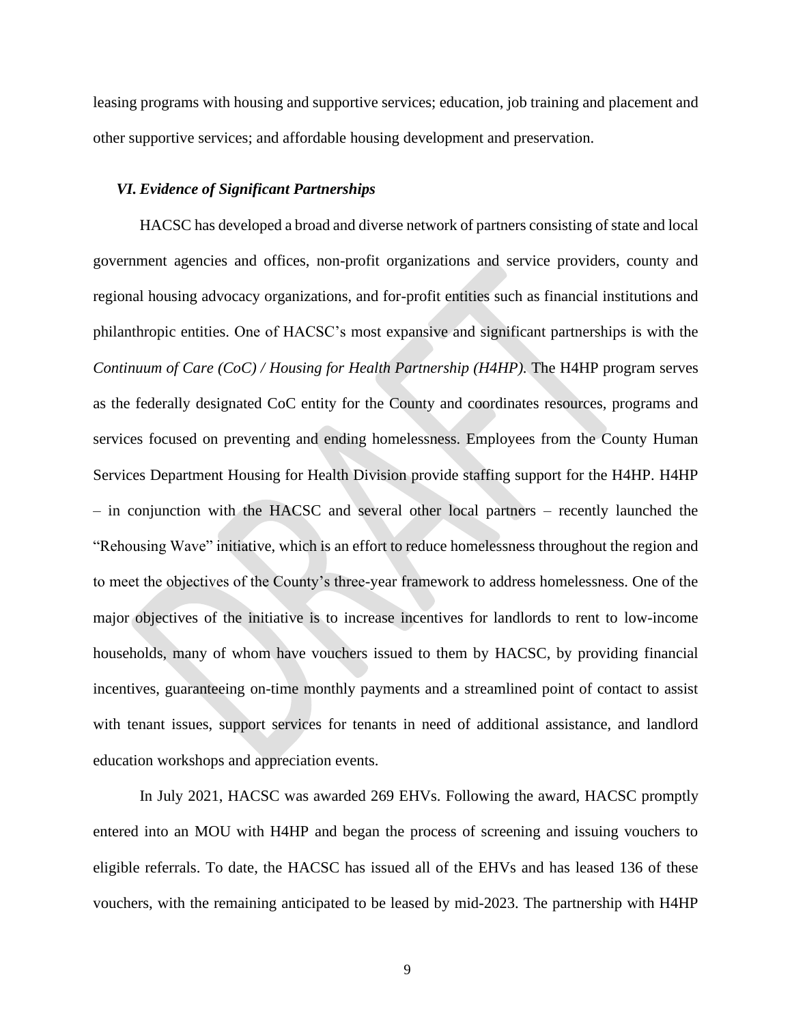leasing programs with housing and supportive services; education, job training and placement and other supportive services; and affordable housing development and preservation.

#### <span id="page-10-0"></span>*VI. Evidence of Significant Partnerships*

HACSC has developed a broad and diverse network of partners consisting of state and local government agencies and offices, non-profit organizations and service providers, county and regional housing advocacy organizations, and for-profit entities such as financial institutions and philanthropic entities. One of HACSC's most expansive and significant partnerships is with the *Continuum of Care (CoC) / Housing for Health Partnership (H4HP).* The H4HP program serves as the federally designated CoC entity for the County and coordinates resources, programs and services focused on preventing and ending homelessness. Employees from the County Human Services Department Housing for Health Division provide staffing support for the H4HP. H4HP – in conjunction with the HACSC and several other local partners – recently launched the "Rehousing Wave" initiative, which is an effort to reduce homelessness throughout the region and to meet the objectives of the County's three-year framework to address homelessness. One of the major objectives of the initiative is to increase incentives for landlords to rent to low-income households, many of whom have vouchers issued to them by HACSC, by providing financial incentives, guaranteeing on-time monthly payments and a streamlined point of contact to assist with tenant issues, support services for tenants in need of additional assistance, and landlord education workshops and appreciation events.

In July 2021, HACSC was awarded 269 EHVs. Following the award, HACSC promptly entered into an MOU with H4HP and began the process of screening and issuing vouchers to eligible referrals. To date, the HACSC has issued all of the EHVs and has leased 136 of these vouchers, with the remaining anticipated to be leased by mid-2023. The partnership with H4HP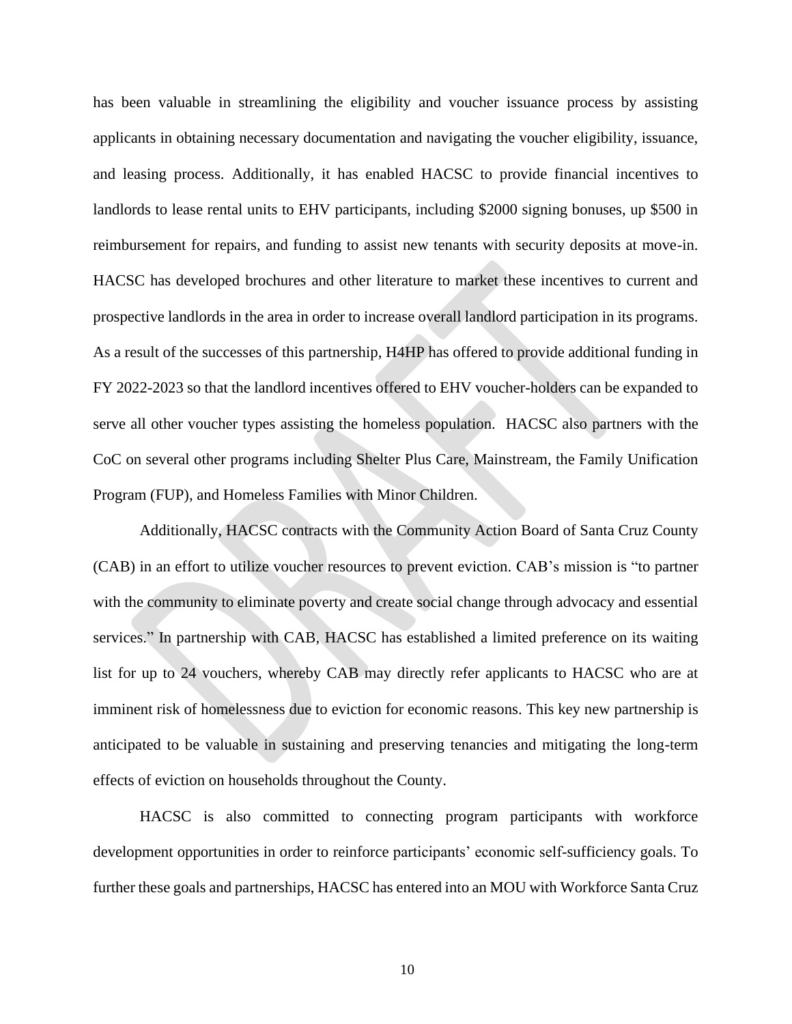has been valuable in streamlining the eligibility and voucher issuance process by assisting applicants in obtaining necessary documentation and navigating the voucher eligibility, issuance, and leasing process. Additionally, it has enabled HACSC to provide financial incentives to landlords to lease rental units to EHV participants, including \$2000 signing bonuses, up \$500 in reimbursement for repairs, and funding to assist new tenants with security deposits at move-in. HACSC has developed brochures and other literature to market these incentives to current and prospective landlords in the area in order to increase overall landlord participation in its programs. As a result of the successes of this partnership, H4HP has offered to provide additional funding in FY 2022-2023 so that the landlord incentives offered to EHV voucher-holders can be expanded to serve all other voucher types assisting the homeless population. HACSC also partners with the CoC on several other programs including Shelter Plus Care, Mainstream, the Family Unification Program (FUP), and Homeless Families with Minor Children.

Additionally, HACSC contracts with the Community Action Board of Santa Cruz County (CAB) in an effort to utilize voucher resources to prevent eviction. CAB's mission is "to partner with the community to eliminate poverty and create social change through advocacy and essential services." In partnership with CAB, HACSC has established a limited preference on its waiting list for up to 24 vouchers, whereby CAB may directly refer applicants to HACSC who are at imminent risk of homelessness due to eviction for economic reasons. This key new partnership is anticipated to be valuable in sustaining and preserving tenancies and mitigating the long-term effects of eviction on households throughout the County.

HACSC is also committed to connecting program participants with workforce development opportunities in order to reinforce participants' economic self-sufficiency goals. To further these goals and partnerships, HACSC has entered into an MOU with Workforce Santa Cruz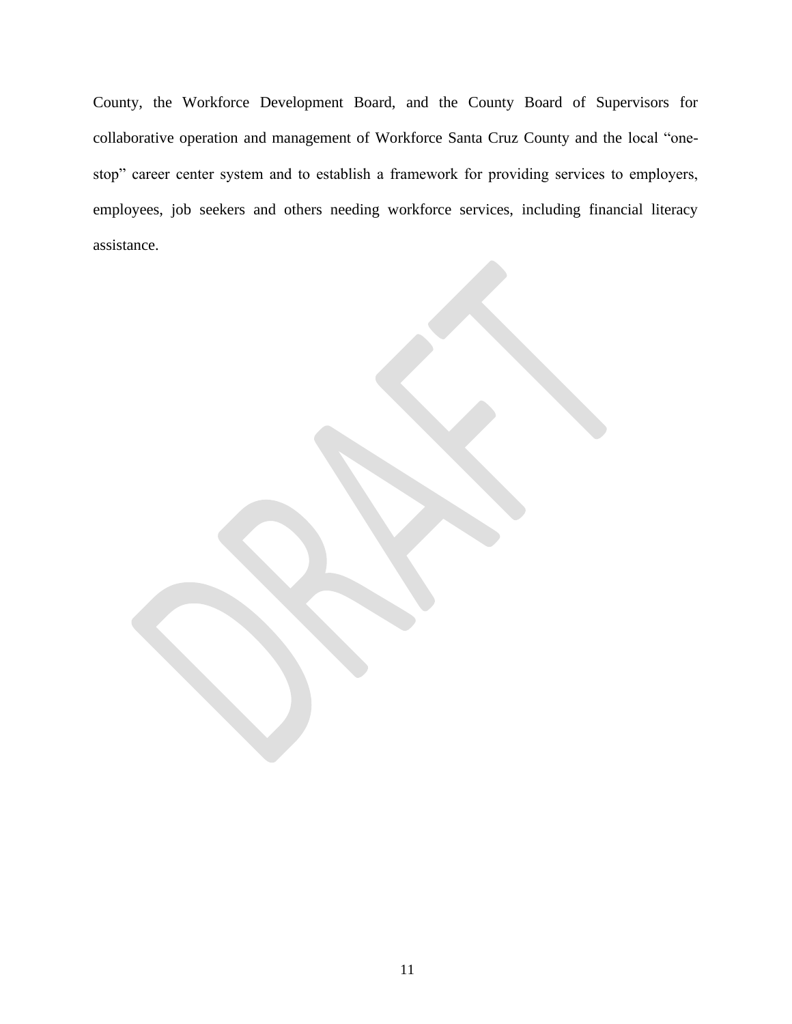County, the Workforce Development Board, and the County Board of Supervisors for collaborative operation and management of Workforce Santa Cruz County and the local "onestop" career center system and to establish a framework for providing services to employers, employees, job seekers and others needing workforce services, including financial literacy assistance.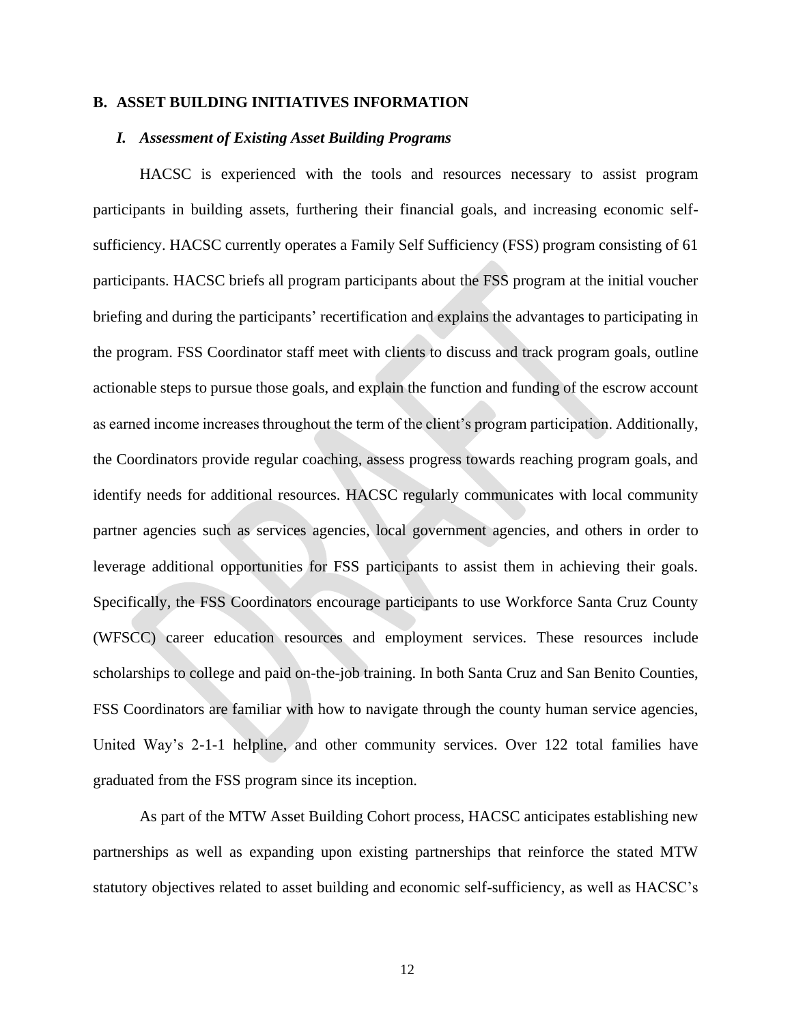#### <span id="page-13-0"></span>**B. ASSET BUILDING INITIATIVES INFORMATION**

#### <span id="page-13-1"></span>*I. Assessment of Existing Asset Building Programs*

HACSC is experienced with the tools and resources necessary to assist program participants in building assets, furthering their financial goals, and increasing economic selfsufficiency. HACSC currently operates a Family Self Sufficiency (FSS) program consisting of 61 participants. HACSC briefs all program participants about the FSS program at the initial voucher briefing and during the participants' recertification and explains the advantages to participating in the program. FSS Coordinator staff meet with clients to discuss and track program goals, outline actionable steps to pursue those goals, and explain the function and funding of the escrow account as earned income increases throughout the term of the client's program participation. Additionally, the Coordinators provide regular coaching, assess progress towards reaching program goals, and identify needs for additional resources. HACSC regularly communicates with local community partner agencies such as services agencies, local government agencies, and others in order to leverage additional opportunities for FSS participants to assist them in achieving their goals. Specifically, the FSS Coordinators encourage participants to use Workforce Santa Cruz County (WFSCC) career education resources and employment services. These resources include scholarships to college and paid on-the-job training. In both Santa Cruz and San Benito Counties, FSS Coordinators are familiar with how to navigate through the county human service agencies, United Way's 2-1-1 helpline, and other community services. Over 122 total families have graduated from the FSS program since its inception.

As part of the MTW Asset Building Cohort process, HACSC anticipates establishing new partnerships as well as expanding upon existing partnerships that reinforce the stated MTW statutory objectives related to asset building and economic self-sufficiency, as well as HACSC's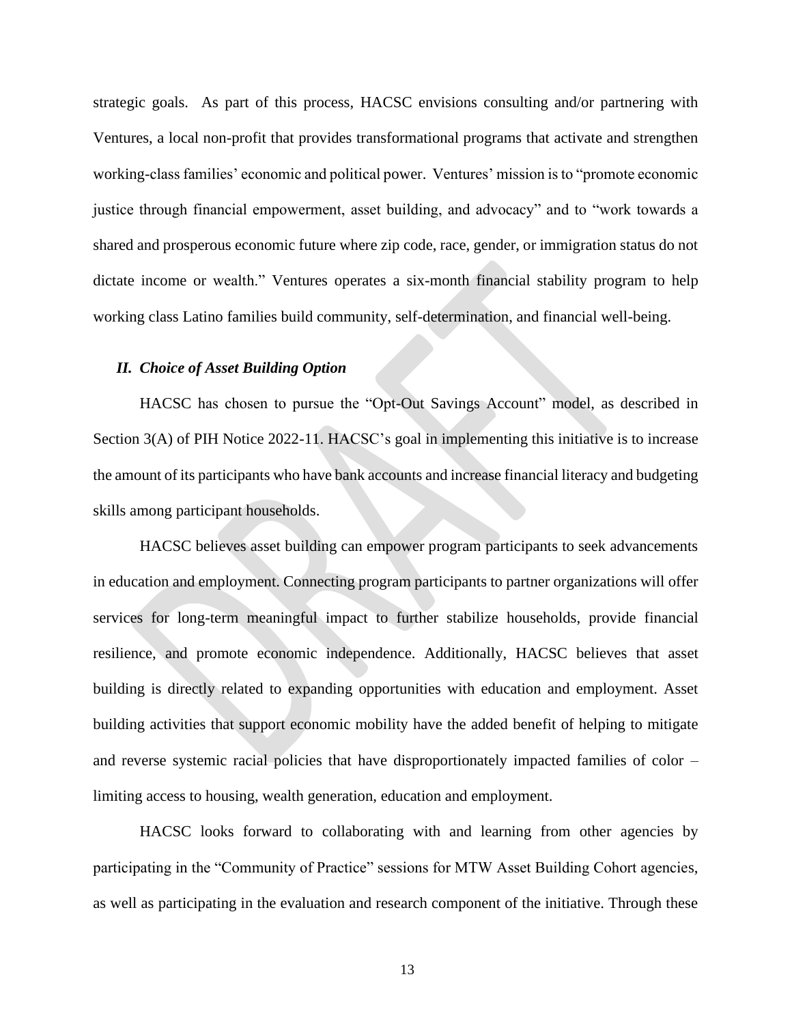strategic goals. As part of this process, HACSC envisions consulting and/or partnering with Ventures, a local non-profit that provides transformational programs that activate and strengthen working-class families' economic and political power. Ventures' mission is to "promote economic justice through financial empowerment, asset building, and advocacy" and to "work towards a shared and prosperous economic future where zip code, race, gender, or immigration status do not dictate income or wealth." Ventures operates a six-month financial stability program to help working class Latino families build community, self-determination, and financial well-being.

#### <span id="page-14-0"></span>*II. Choice of Asset Building Option*

HACSC has chosen to pursue the "Opt-Out Savings Account" model, as described in Section 3(A) of PIH Notice 2022-11. HACSC's goal in implementing this initiative is to increase the amount of its participants who have bank accounts and increase financial literacy and budgeting skills among participant households.

HACSC believes asset building can empower program participants to seek advancements in education and employment. Connecting program participants to partner organizations will offer services for long-term meaningful impact to further stabilize households, provide financial resilience, and promote economic independence. Additionally, HACSC believes that asset building is directly related to expanding opportunities with education and employment. Asset building activities that support economic mobility have the added benefit of helping to mitigate and reverse systemic racial policies that have disproportionately impacted families of color – limiting access to housing, wealth generation, education and employment.

HACSC looks forward to collaborating with and learning from other agencies by participating in the "Community of Practice" sessions for MTW Asset Building Cohort agencies, as well as participating in the evaluation and research component of the initiative. Through these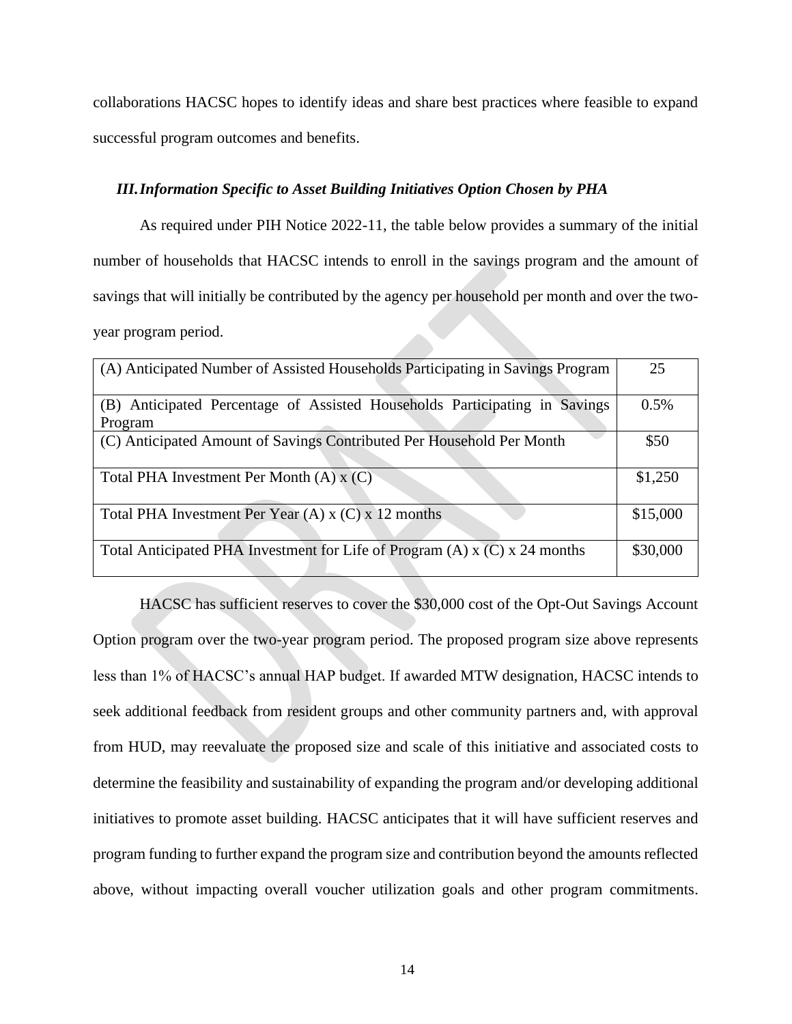collaborations HACSC hopes to identify ideas and share best practices where feasible to expand successful program outcomes and benefits.

#### <span id="page-15-0"></span>*III.Information Specific to Asset Building Initiatives Option Chosen by PHA*

As required under PIH Notice 2022-11, the table below provides a summary of the initial number of households that HACSC intends to enroll in the savings program and the amount of savings that will initially be contributed by the agency per household per month and over the twoyear program period.

|                                                                                | 25       |  |
|--------------------------------------------------------------------------------|----------|--|
| (A) Anticipated Number of Assisted Households Participating in Savings Program |          |  |
|                                                                                |          |  |
|                                                                                |          |  |
| (B) Anticipated Percentage of Assisted Households Participating in Savings     | 0.5%     |  |
|                                                                                |          |  |
| Program                                                                        |          |  |
| (C) Anticipated Amount of Savings Contributed Per Household Per Month          |          |  |
|                                                                                | \$50     |  |
|                                                                                |          |  |
| Total PHA Investment Per Month $(A)$ x $(C)$                                   |          |  |
|                                                                                |          |  |
|                                                                                |          |  |
| Total PHA Investment Per Year (A) $x(C)$ x 12 months                           |          |  |
|                                                                                | \$15,000 |  |
|                                                                                |          |  |
| Total Anticipated PHA Investment for Life of Program (A) x (C) x 24 months     |          |  |
|                                                                                |          |  |
|                                                                                |          |  |
|                                                                                |          |  |

HACSC has sufficient reserves to cover the \$30,000 cost of the Opt-Out Savings Account Option program over the two-year program period. The proposed program size above represents less than 1% of HACSC's annual HAP budget. If awarded MTW designation, HACSC intends to seek additional feedback from resident groups and other community partners and, with approval from HUD, may reevaluate the proposed size and scale of this initiative and associated costs to determine the feasibility and sustainability of expanding the program and/or developing additional initiatives to promote asset building. HACSC anticipates that it will have sufficient reserves and program funding to further expand the program size and contribution beyond the amounts reflected above, without impacting overall voucher utilization goals and other program commitments.